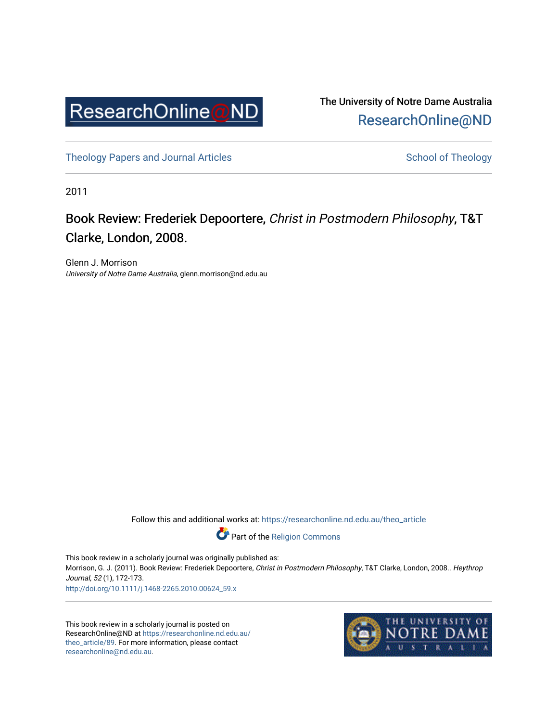

The University of Notre Dame Australia [ResearchOnline@ND](https://researchonline.nd.edu.au/) 

[Theology Papers and Journal Articles](https://researchonline.nd.edu.au/theo_article) and [School of Theology](https://researchonline.nd.edu.au/theo) School of Theology

2011

## Book Review: Frederiek Depoortere, Christ in Postmodern Philosophy, T&T Clarke, London, 2008.

Glenn J. Morrison University of Notre Dame Australia, glenn.morrison@nd.edu.au

Follow this and additional works at: [https://researchonline.nd.edu.au/theo\\_article](https://researchonline.nd.edu.au/theo_article?utm_source=researchonline.nd.edu.au%2Ftheo_article%2F89&utm_medium=PDF&utm_campaign=PDFCoverPages) 

Part of the [Religion Commons](http://network.bepress.com/hgg/discipline/538?utm_source=researchonline.nd.edu.au%2Ftheo_article%2F89&utm_medium=PDF&utm_campaign=PDFCoverPages) 

This book review in a scholarly journal was originally published as: Morrison, G. J. (2011). Book Review: Frederiek Depoortere, Christ in Postmodern Philosophy, T&T Clarke, London, 2008.. Heythrop Journal, 52 (1), 172-173. [http://doi.org/10.1111/j.1468-2265.2010.00624\\_59.x](http://doi.org/10.1111/j.1468-2265.2010.00624_59.x) 

This book review in a scholarly journal is posted on ResearchOnline@ND at [https://researchonline.nd.edu.au/](https://researchonline.nd.edu.au/theo_article/89) [theo\\_article/89.](https://researchonline.nd.edu.au/theo_article/89) For more information, please contact [researchonline@nd.edu.au.](mailto:researchonline@nd.edu.au)

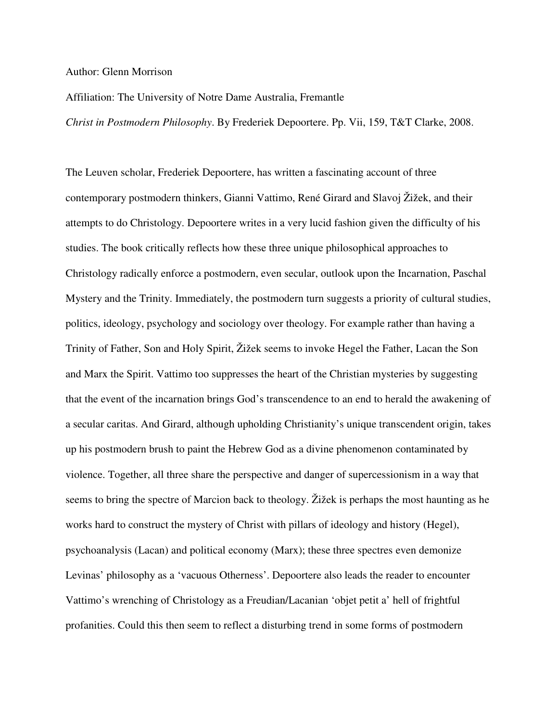## Author: Glenn Morrison

## Affiliation: The University of Notre Dame Australia, Fremantle

*Christ in Postmodern Philosophy*. By Frederiek Depoortere. Pp. Vii, 159, T&T Clarke, 2008.

The Leuven scholar, Frederiek Depoortere, has written a fascinating account of three contemporary postmodern thinkers, Gianni Vattimo, René Girard and Slavoj Žižek, and their attempts to do Christology. Depoortere writes in a very lucid fashion given the difficulty of his studies. The book critically reflects how these three unique philosophical approaches to Christology radically enforce a postmodern, even secular, outlook upon the Incarnation, Paschal Mystery and the Trinity. Immediately, the postmodern turn suggests a priority of cultural studies, politics, ideology, psychology and sociology over theology. For example rather than having a Trinity of Father, Son and Holy Spirit, Žižek seems to invoke Hegel the Father, Lacan the Son and Marx the Spirit. Vattimo too suppresses the heart of the Christian mysteries by suggesting that the event of the incarnation brings God's transcendence to an end to herald the awakening of a secular caritas. And Girard, although upholding Christianity's unique transcendent origin, takes up his postmodern brush to paint the Hebrew God as a divine phenomenon contaminated by violence. Together, all three share the perspective and danger of supercessionism in a way that seems to bring the spectre of Marcion back to theology. Žižek is perhaps the most haunting as he works hard to construct the mystery of Christ with pillars of ideology and history (Hegel), psychoanalysis (Lacan) and political economy (Marx); these three spectres even demonize Levinas' philosophy as a 'vacuous Otherness'. Depoortere also leads the reader to encounter Vattimo's wrenching of Christology as a Freudian/Lacanian 'objet petit a' hell of frightful profanities. Could this then seem to reflect a disturbing trend in some forms of postmodern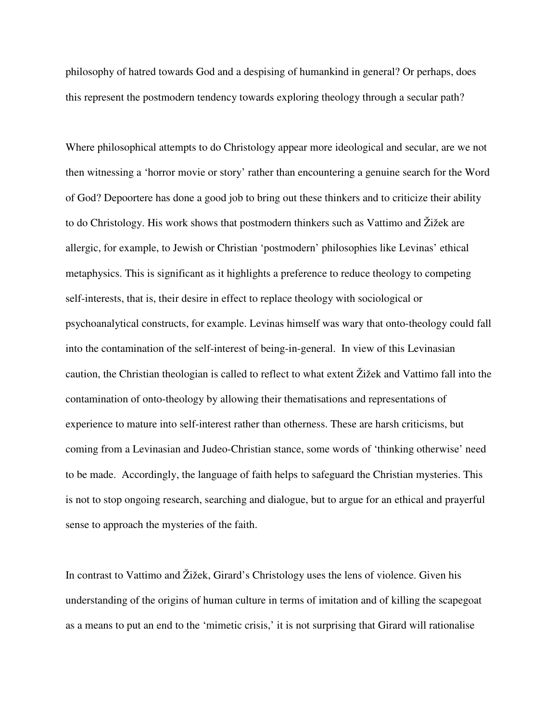philosophy of hatred towards God and a despising of humankind in general? Or perhaps, does this represent the postmodern tendency towards exploring theology through a secular path?

Where philosophical attempts to do Christology appear more ideological and secular, are we not then witnessing a 'horror movie or story' rather than encountering a genuine search for the Word of God? Depoortere has done a good job to bring out these thinkers and to criticize their ability to do Christology. His work shows that postmodern thinkers such as Vattimo and Žižek are allergic, for example, to Jewish or Christian 'postmodern' philosophies like Levinas' ethical metaphysics. This is significant as it highlights a preference to reduce theology to competing self-interests, that is, their desire in effect to replace theology with sociological or psychoanalytical constructs, for example. Levinas himself was wary that onto-theology could fall into the contamination of the self-interest of being-in-general. In view of this Levinasian caution, the Christian theologian is called to reflect to what extent Žižek and Vattimo fall into the contamination of onto-theology by allowing their thematisations and representations of experience to mature into self-interest rather than otherness. These are harsh criticisms, but coming from a Levinasian and Judeo-Christian stance, some words of 'thinking otherwise' need to be made. Accordingly, the language of faith helps to safeguard the Christian mysteries. This is not to stop ongoing research, searching and dialogue, but to argue for an ethical and prayerful sense to approach the mysteries of the faith.

In contrast to Vattimo and Žižek, Girard's Christology uses the lens of violence. Given his understanding of the origins of human culture in terms of imitation and of killing the scapegoat as a means to put an end to the 'mimetic crisis,' it is not surprising that Girard will rationalise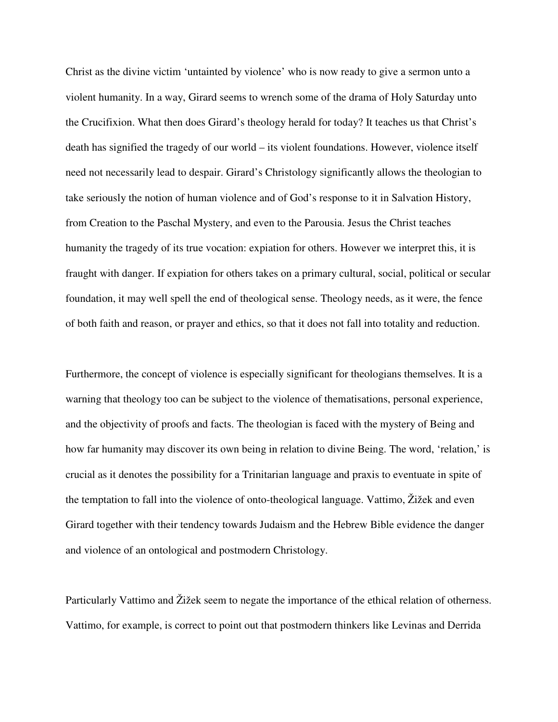Christ as the divine victim 'untainted by violence' who is now ready to give a sermon unto a violent humanity. In a way, Girard seems to wrench some of the drama of Holy Saturday unto the Crucifixion. What then does Girard's theology herald for today? It teaches us that Christ's death has signified the tragedy of our world – its violent foundations. However, violence itself need not necessarily lead to despair. Girard's Christology significantly allows the theologian to take seriously the notion of human violence and of God's response to it in Salvation History, from Creation to the Paschal Mystery, and even to the Parousia. Jesus the Christ teaches humanity the tragedy of its true vocation: expiation for others. However we interpret this, it is fraught with danger. If expiation for others takes on a primary cultural, social, political or secular foundation, it may well spell the end of theological sense. Theology needs, as it were, the fence of both faith and reason, or prayer and ethics, so that it does not fall into totality and reduction.

Furthermore, the concept of violence is especially significant for theologians themselves. It is a warning that theology too can be subject to the violence of thematisations, personal experience, and the objectivity of proofs and facts. The theologian is faced with the mystery of Being and how far humanity may discover its own being in relation to divine Being. The word, 'relation,' is crucial as it denotes the possibility for a Trinitarian language and praxis to eventuate in spite of the temptation to fall into the violence of onto-theological language. Vattimo, Žižek and even Girard together with their tendency towards Judaism and the Hebrew Bible evidence the danger and violence of an ontological and postmodern Christology.

Particularly Vattimo and Žižek seem to negate the importance of the ethical relation of otherness. Vattimo, for example, is correct to point out that postmodern thinkers like Levinas and Derrida